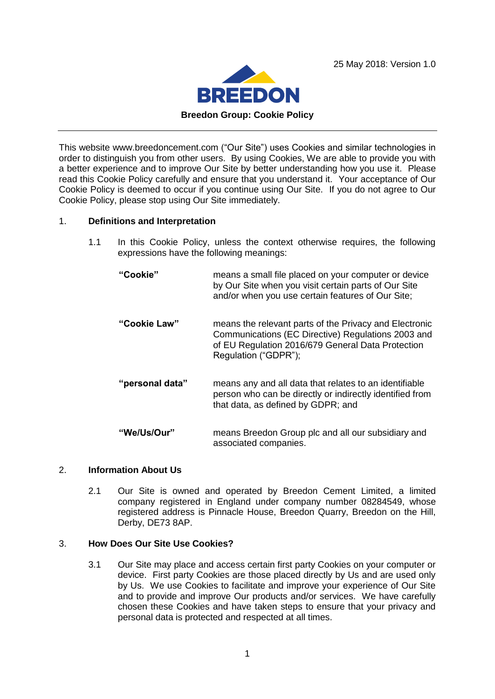



This website www.breedoncement.com ("Our Site") uses Cookies and similar technologies in order to distinguish you from other users. By using Cookies, We are able to provide you with a better experience and to improve Our Site by better understanding how you use it. Please read this Cookie Policy carefully and ensure that you understand it. Your acceptance of Our Cookie Policy is deemed to occur if you continue using Our Site. If you do not agree to Our Cookie Policy, please stop using Our Site immediately.

## 1. **Definitions and Interpretation**

- 1.1 In this Cookie Policy, unless the context otherwise requires, the following expressions have the following meanings:
	- **"Cookie"** means a small file placed on your computer or device by Our Site when you visit certain parts of Our Site and/or when you use certain features of Our Site; **"Cookie Law"** means the relevant parts of the Privacy and Electronic Communications (EC Directive) Regulations 2003 and of EU Regulation 2016/679 General Data Protection Regulation ("GDPR"); **"personal data"** means any and all data that relates to an identifiable person who can be directly or indirectly identified from that data, as defined by GDPR; and **"We/Us/Our"** means Breedon Group plc and all our subsidiary and associated companies.

## 2. **Information About Us**

2.1 Our Site is owned and operated by Breedon Cement Limited, a limited company registered in England under company number 08284549, whose registered address is Pinnacle House, Breedon Quarry, Breedon on the Hill, Derby, DE73 8AP.

## 3. **How Does Our Site Use Cookies?**

3.1 Our Site may place and access certain first party Cookies on your computer or device. First party Cookies are those placed directly by Us and are used only by Us. We use Cookies to facilitate and improve your experience of Our Site and to provide and improve Our products and/or services. We have carefully chosen these Cookies and have taken steps to ensure that your privacy and personal data is protected and respected at all times.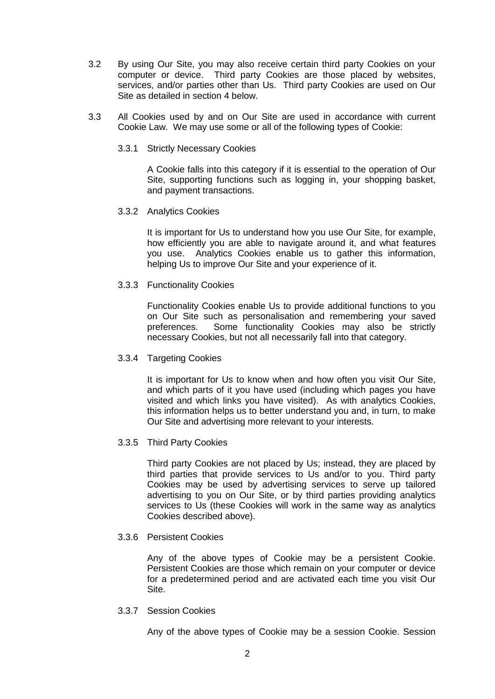- 3.2 By using Our Site, you may also receive certain third party Cookies on your computer or device. Third party Cookies are those placed by websites, services, and/or parties other than Us. Third party Cookies are used on Our Site as detailed in section 4 below.
- 3.3 All Cookies used by and on Our Site are used in accordance with current Cookie Law. We may use some or all of the following types of Cookie:
	- 3.3.1 Strictly Necessary Cookies

A Cookie falls into this category if it is essential to the operation of Our Site, supporting functions such as logging in, your shopping basket, and payment transactions.

3.3.2 Analytics Cookies

It is important for Us to understand how you use Our Site, for example, how efficiently you are able to navigate around it, and what features you use. Analytics Cookies enable us to gather this information, helping Us to improve Our Site and your experience of it.

3.3.3 Functionality Cookies

Functionality Cookies enable Us to provide additional functions to you on Our Site such as personalisation and remembering your saved preferences. Some functionality Cookies may also be strictly necessary Cookies, but not all necessarily fall into that category.

3.3.4 Targeting Cookies

It is important for Us to know when and how often you visit Our Site, and which parts of it you have used (including which pages you have visited and which links you have visited). As with analytics Cookies, this information helps us to better understand you and, in turn, to make Our Site and advertising more relevant to your interests.

3.3.5 Third Party Cookies

Third party Cookies are not placed by Us; instead, they are placed by third parties that provide services to Us and/or to you. Third party Cookies may be used by advertising services to serve up tailored advertising to you on Our Site, or by third parties providing analytics services to Us (these Cookies will work in the same way as analytics Cookies described above).

3.3.6 Persistent Cookies

Any of the above types of Cookie may be a persistent Cookie. Persistent Cookies are those which remain on your computer or device for a predetermined period and are activated each time you visit Our Site.

3.3.7 Session Cookies

Any of the above types of Cookie may be a session Cookie. Session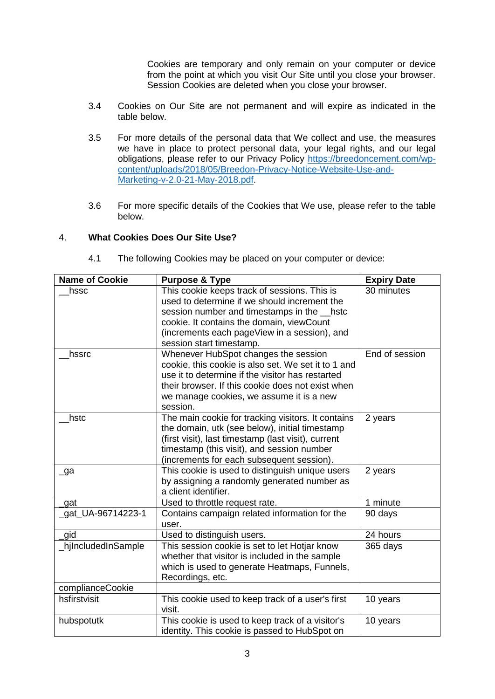Cookies are temporary and only remain on your computer or device from the point at which you visit Our Site until you close your browser. Session Cookies are deleted when you close your browser.

- 3.4 Cookies on Our Site are not permanent and will expire as indicated in the table below.
- 3.5 For more details of the personal data that We collect and use, the measures we have in place to protect personal data, your legal rights, and our legal obligations, please refer to our Privacy Policy [https://breedoncement.com/wp](https://breedoncement.com/wp-content/uploads/2018/05/Breedon-Privacy-Notice-Website-Use-and-Marketing-v-2.0-21-May-2018.pdf)[content/uploads/2018/05/Breedon-Privacy-Notice-Website-Use-and-](https://breedoncement.com/wp-content/uploads/2018/05/Breedon-Privacy-Notice-Website-Use-and-Marketing-v-2.0-21-May-2018.pdf)[Marketing-v-2.0-21-May-2018.pdf.](https://breedoncement.com/wp-content/uploads/2018/05/Breedon-Privacy-Notice-Website-Use-and-Marketing-v-2.0-21-May-2018.pdf)
- 3.6 For more specific details of the Cookies that We use, please refer to the table below.

## 4. **What Cookies Does Our Site Use?**

| <b>Name of Cookie</b> | <b>Purpose &amp; Type</b>                                                                                                                                                                                                                                           | <b>Expiry Date</b> |
|-----------------------|---------------------------------------------------------------------------------------------------------------------------------------------------------------------------------------------------------------------------------------------------------------------|--------------------|
| hssc                  | This cookie keeps track of sessions. This is<br>used to determine if we should increment the<br>session number and timestamps in the histc<br>cookie. It contains the domain, viewCount<br>(increments each pageView in a session), and<br>session start timestamp. | 30 minutes         |
| hssrc                 | Whenever HubSpot changes the session<br>cookie, this cookie is also set. We set it to 1 and<br>use it to determine if the visitor has restarted<br>their browser. If this cookie does not exist when<br>we manage cookies, we assume it is a new<br>session.        | End of session     |
| hstc                  | The main cookie for tracking visitors. It contains<br>the domain, utk (see below), initial timestamp<br>(first visit), last timestamp (last visit), current<br>timestamp (this visit), and session number<br>(increments for each subsequent session).              | 2 years            |
| $\lnot$ ga            | This cookie is used to distinguish unique users<br>by assigning a randomly generated number as<br>a client identifier.                                                                                                                                              | 2 years            |
| _gat                  | Used to throttle request rate.                                                                                                                                                                                                                                      | 1 minute           |
| _gat_UA-96714223-1    | Contains campaign related information for the<br>user.                                                                                                                                                                                                              | 90 days            |
| gid                   | Used to distinguish users.                                                                                                                                                                                                                                          | 24 hours           |
| _hjIncludedInSample   | This session cookie is set to let Hotjar know<br>whether that visitor is included in the sample<br>which is used to generate Heatmaps, Funnels,<br>Recordings, etc.                                                                                                 | 365 days           |
| complianceCookie      |                                                                                                                                                                                                                                                                     |                    |
| hsfirstvisit          | This cookie used to keep track of a user's first<br>visit.                                                                                                                                                                                                          | 10 years           |
| hubspotutk            | This cookie is used to keep track of a visitor's<br>identity. This cookie is passed to HubSpot on                                                                                                                                                                   | 10 years           |

4.1 The following Cookies may be placed on your computer or device: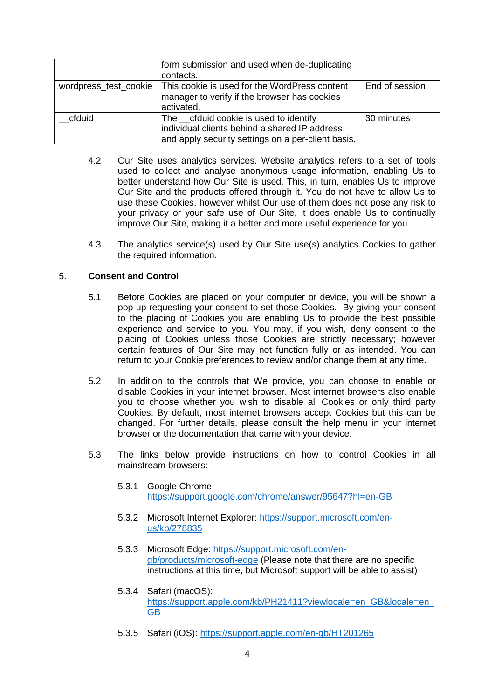|                       | form submission and used when de-duplicating<br>contacts.                                                                                      |                |
|-----------------------|------------------------------------------------------------------------------------------------------------------------------------------------|----------------|
| wordpress_test_cookie | This cookie is used for the WordPress content<br>manager to verify if the browser has cookies<br>activated.                                    | End of session |
| cfduid                | The __cfduid cookie is used to identify<br>individual clients behind a shared IP address<br>and apply security settings on a per-client basis. | 30 minutes     |

- 4.2 Our Site uses analytics services. Website analytics refers to a set of tools used to collect and analyse anonymous usage information, enabling Us to better understand how Our Site is used. This, in turn, enables Us to improve Our Site and the products offered through it. You do not have to allow Us to use these Cookies, however whilst Our use of them does not pose any risk to your privacy or your safe use of Our Site, it does enable Us to continually improve Our Site, making it a better and more useful experience for you.
- 4.3 The analytics service(s) used by Our Site use(s) analytics Cookies to gather the required information.

# 5. **Consent and Control**

- 5.1 Before Cookies are placed on your computer or device, you will be shown a pop up requesting your consent to set those Cookies. By giving your consent to the placing of Cookies you are enabling Us to provide the best possible experience and service to you. You may, if you wish, deny consent to the placing of Cookies unless those Cookies are strictly necessary; however certain features of Our Site may not function fully or as intended. You can return to your Cookie preferences to review and/or change them at any time.
- 5.2 In addition to the controls that We provide, you can choose to enable or disable Cookies in your internet browser. Most internet browsers also enable you to choose whether you wish to disable all Cookies or only third party Cookies. By default, most internet browsers accept Cookies but this can be changed. For further details, please consult the help menu in your internet browser or the documentation that came with your device.
- 5.3 The links below provide instructions on how to control Cookies in all mainstream browsers:
	- 5.3.1 Google Chrome: <https://support.google.com/chrome/answer/95647?hl=en-GB>
	- 5.3.2 Microsoft Internet Explorer: [https://support.microsoft.com/en](https://support.microsoft.com/en-us/kb/278835)[us/kb/278835](https://support.microsoft.com/en-us/kb/278835)
	- 5.3.3 Microsoft Edge: [https://support.microsoft.com/en](https://support.microsoft.com/en-gb/products/microsoft-edge)[gb/products/microsoft-edge](https://support.microsoft.com/en-gb/products/microsoft-edge) (Please note that there are no specific instructions at this time, but Microsoft support will be able to assist)
	- 5.3.4 Safari (macOS): [https://support.apple.com/kb/PH21411?viewlocale=en\\_GB&locale=en\\_](https://support.apple.com/kb/PH21411?viewlocale=en_GB&locale=en_GB) [GB](https://support.apple.com/kb/PH21411?viewlocale=en_GB&locale=en_GB)
	- 5.3.5 Safari (iOS):<https://support.apple.com/en-gb/HT201265>